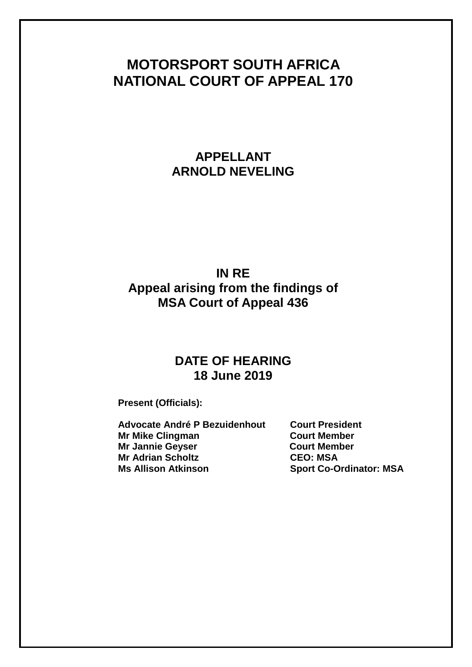# **MOTORSPORT SOUTH AFRICA NATIONAL COURT OF APPEAL 170**

# **APPELLANT ARNOLD NEVELING**

## **IN RE Appeal arising from the findings of MSA Court of Appeal 436**

## **DATE OF HEARING 18 June 2019**

**Present (Officials):**

**Advocate André P Bezuidenhout Court President Mr Mike Clingman Court Member Mr Jannie Geyser Court Member Mr Adrian Scholtz CEO: MSA**

**Sport Co-Ordinator: MSA**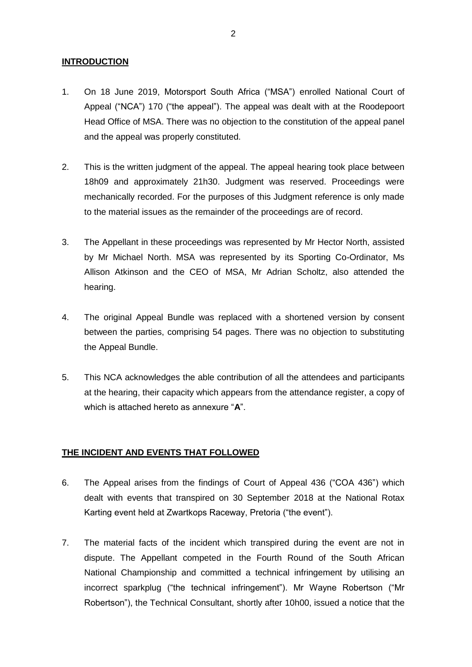## **INTRODUCTION**

- 1. On 18 June 2019, Motorsport South Africa ("MSA") enrolled National Court of Appeal ("NCA") 170 ("the appeal"). The appeal was dealt with at the Roodepoort Head Office of MSA. There was no objection to the constitution of the appeal panel and the appeal was properly constituted.
- 2. This is the written judgment of the appeal. The appeal hearing took place between 18h09 and approximately 21h30. Judgment was reserved. Proceedings were mechanically recorded. For the purposes of this Judgment reference is only made to the material issues as the remainder of the proceedings are of record.
- 3. The Appellant in these proceedings was represented by Mr Hector North, assisted by Mr Michael North. MSA was represented by its Sporting Co-Ordinator, Ms Allison Atkinson and the CEO of MSA, Mr Adrian Scholtz, also attended the hearing.
- 4. The original Appeal Bundle was replaced with a shortened version by consent between the parties, comprising 54 pages. There was no objection to substituting the Appeal Bundle.
- 5. This NCA acknowledges the able contribution of all the attendees and participants at the hearing, their capacity which appears from the attendance register, a copy of which is attached hereto as annexure "**A**".

## **THE INCIDENT AND EVENTS THAT FOLLOWED**

- 6. The Appeal arises from the findings of Court of Appeal 436 ("COA 436") which dealt with events that transpired on 30 September 2018 at the National Rotax Karting event held at Zwartkops Raceway, Pretoria ("the event").
- 7. The material facts of the incident which transpired during the event are not in dispute. The Appellant competed in the Fourth Round of the South African National Championship and committed a technical infringement by utilising an incorrect sparkplug ("the technical infringement"). Mr Wayne Robertson ("Mr Robertson"), the Technical Consultant, shortly after 10h00, issued a notice that the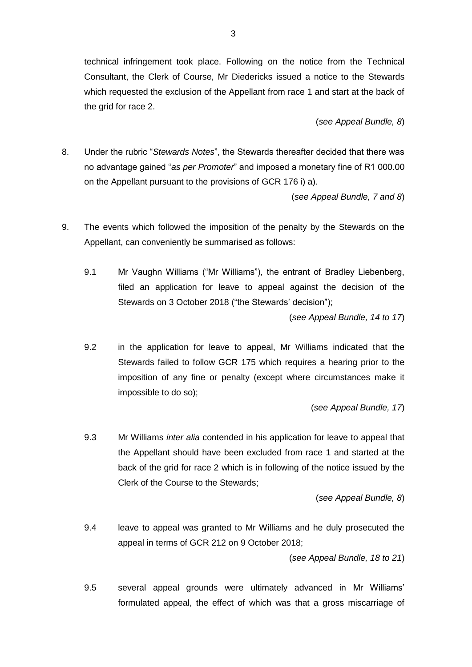technical infringement took place. Following on the notice from the Technical Consultant, the Clerk of Course, Mr Diedericks issued a notice to the Stewards which requested the exclusion of the Appellant from race 1 and start at the back of the grid for race 2.

(*see Appeal Bundle, 8*)

8. Under the rubric "*Stewards Notes*", the Stewards thereafter decided that there was no advantage gained "*as per Promoter*" and imposed a monetary fine of R1 000.00 on the Appellant pursuant to the provisions of GCR 176 i) a).

(*see Appeal Bundle, 7 and 8*)

- 9. The events which followed the imposition of the penalty by the Stewards on the Appellant, can conveniently be summarised as follows:
	- 9.1 Mr Vaughn Williams ("Mr Williams"), the entrant of Bradley Liebenberg, filed an application for leave to appeal against the decision of the Stewards on 3 October 2018 ("the Stewards' decision");

(*see Appeal Bundle, 14 to 17*)

9.2 in the application for leave to appeal, Mr Williams indicated that the Stewards failed to follow GCR 175 which requires a hearing prior to the imposition of any fine or penalty (except where circumstances make it impossible to do so);

(*see Appeal Bundle, 17*)

9.3 Mr Williams *inter alia* contended in his application for leave to appeal that the Appellant should have been excluded from race 1 and started at the back of the grid for race 2 which is in following of the notice issued by the Clerk of the Course to the Stewards;

(*see Appeal Bundle, 8*)

9.4 leave to appeal was granted to Mr Williams and he duly prosecuted the appeal in terms of GCR 212 on 9 October 2018;

(*see Appeal Bundle, 18 to 21*)

9.5 several appeal grounds were ultimately advanced in Mr Williams' formulated appeal, the effect of which was that a gross miscarriage of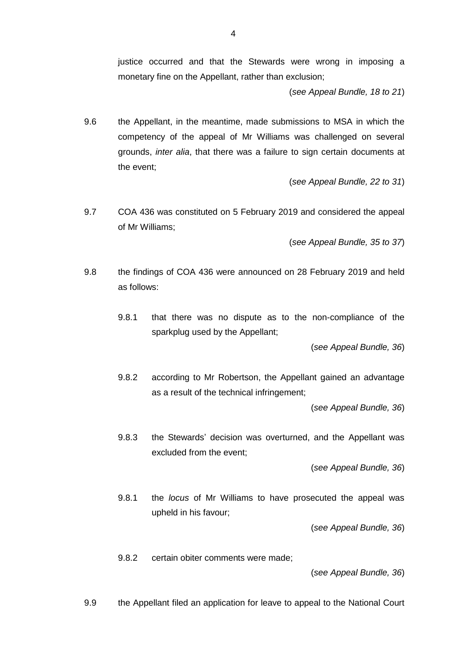justice occurred and that the Stewards were wrong in imposing a monetary fine on the Appellant, rather than exclusion;

(*see Appeal Bundle, 18 to 21*)

9.6 the Appellant, in the meantime, made submissions to MSA in which the competency of the appeal of Mr Williams was challenged on several grounds, *inter alia*, that there was a failure to sign certain documents at the event;

(*see Appeal Bundle, 22 to 31*)

9.7 COA 436 was constituted on 5 February 2019 and considered the appeal of Mr Williams;

(*see Appeal Bundle, 35 to 37*)

- 9.8 the findings of COA 436 were announced on 28 February 2019 and held as follows:
	- 9.8.1 that there was no dispute as to the non-compliance of the sparkplug used by the Appellant;

(*see Appeal Bundle, 36*)

9.8.2 according to Mr Robertson, the Appellant gained an advantage as a result of the technical infringement;

(*see Appeal Bundle, 36*)

9.8.3 the Stewards' decision was overturned, and the Appellant was excluded from the event;

(*see Appeal Bundle, 36*)

9.8.1 the *locus* of Mr Williams to have prosecuted the appeal was upheld in his favour;

(*see Appeal Bundle, 36*)

9.8.2 certain obiter comments were made;

(*see Appeal Bundle, 36*)

9.9 the Appellant filed an application for leave to appeal to the National Court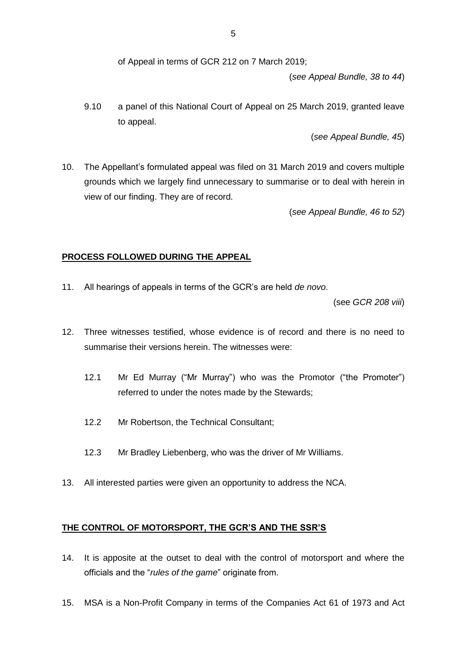of Appeal in terms of GCR 212 on 7 March 2019;

(*see Appeal Bundle, 38 to 44*)

9.10 a panel of this National Court of Appeal on 25 March 2019, granted leave to appeal.

(*see Appeal Bundle, 45*)

10. The Appellant's formulated appeal was filed on 31 March 2019 and covers multiple grounds which we largely find unnecessary to summarise or to deal with herein in view of our finding. They are of record.

(*see Appeal Bundle, 46 to 52*)

## **PROCESS FOLLOWED DURING THE APPEAL**

11. All hearings of appeals in terms of the GCR's are held *de novo*.

(see *GCR 208 viii*)

- 12. Three witnesses testified, whose evidence is of record and there is no need to summarise their versions herein. The witnesses were:
	- 12.1 Mr Ed Murray ("Mr Murray") who was the Promotor ("the Promoter") referred to under the notes made by the Stewards;
	- 12.2 Mr Robertson, the Technical Consultant;
	- 12.3 Mr Bradley Liebenberg, who was the driver of Mr Williams.
- 13. All interested parties were given an opportunity to address the NCA.

## **THE CONTROL OF MOTORSPORT, THE GCR'S AND THE SSR'S**

- 14. It is apposite at the outset to deal with the control of motorsport and where the officials and the "*rules of the game*" originate from.
- 15. MSA is a Non-Profit Company in terms of the Companies Act 61 of 1973 and Act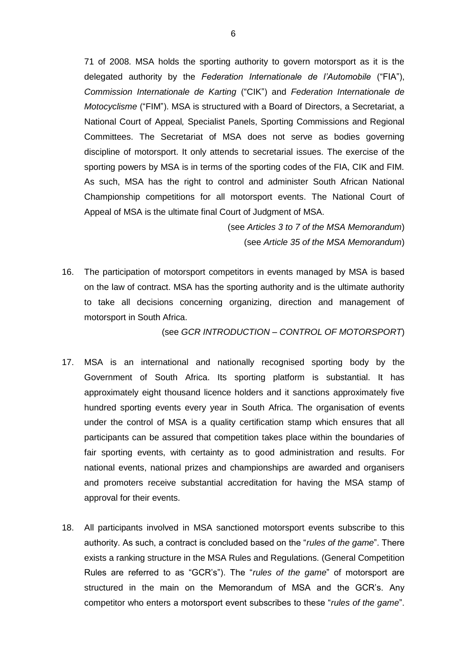71 of 2008. MSA holds the sporting authority to govern motorsport as it is the delegated authority by the *Federation Internationale de l'Automobile* ("FIA"), *Commission Internationale de Karting* ("CIK") and *Federation Internationale de Motocyclisme* ("FIM"). MSA is structured with a Board of Directors, a Secretariat, a National Court of Appeal*,* Specialist Panels, Sporting Commissions and Regional Committees. The Secretariat of MSA does not serve as bodies governing discipline of motorsport. It only attends to secretarial issues. The exercise of the sporting powers by MSA is in terms of the sporting codes of the FIA, CIK and FIM. As such, MSA has the right to control and administer South African National Championship competitions for all motorsport events. The National Court of Appeal of MSA is the ultimate final Court of Judgment of MSA.

> (see *Articles 3 to 7 of the MSA Memorandum*) (see *Article 35 of the MSA Memorandum*)

16. The participation of motorsport competitors in events managed by MSA is based on the law of contract. MSA has the sporting authority and is the ultimate authority to take all decisions concerning organizing, direction and management of motorsport in South Africa.

(see *GCR INTRODUCTION – CONTROL OF MOTORSPORT*)

- 17. MSA is an international and nationally recognised sporting body by the Government of South Africa. Its sporting platform is substantial. It has approximately eight thousand licence holders and it sanctions approximately five hundred sporting events every year in South Africa. The organisation of events under the control of MSA is a quality certification stamp which ensures that all participants can be assured that competition takes place within the boundaries of fair sporting events, with certainty as to good administration and results. For national events, national prizes and championships are awarded and organisers and promoters receive substantial accreditation for having the MSA stamp of approval for their events.
- 18. All participants involved in MSA sanctioned motorsport events subscribe to this authority. As such, a contract is concluded based on the "*rules of the game*". There exists a ranking structure in the MSA Rules and Regulations. (General Competition Rules are referred to as "GCR's"). The "*rules of the game*" of motorsport are structured in the main on the Memorandum of MSA and the GCR's. Any competitor who enters a motorsport event subscribes to these "*rules of the game*".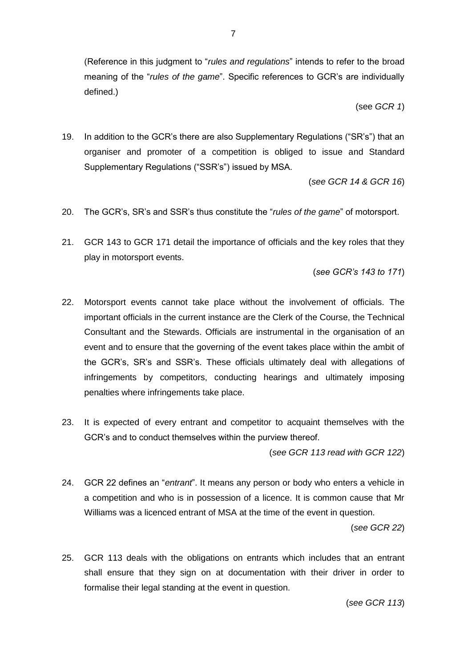(Reference in this judgment to "*rules and regulations*" intends to refer to the broad meaning of the "*rules of the game*". Specific references to GCR's are individually defined.)

(see *GCR 1*)

19. In addition to the GCR's there are also Supplementary Regulations ("SR's") that an organiser and promoter of a competition is obliged to issue and Standard Supplementary Regulations ("SSR's") issued by MSA.

(*see GCR 14 & GCR 16*)

- 20. The GCR's, SR's and SSR's thus constitute the "*rules of the game*" of motorsport.
- 21. GCR 143 to GCR 171 detail the importance of officials and the key roles that they play in motorsport events.

(*see GCR's 143 to 171*)

- 22. Motorsport events cannot take place without the involvement of officials. The important officials in the current instance are the Clerk of the Course, the Technical Consultant and the Stewards. Officials are instrumental in the organisation of an event and to ensure that the governing of the event takes place within the ambit of the GCR's, SR's and SSR's. These officials ultimately deal with allegations of infringements by competitors, conducting hearings and ultimately imposing penalties where infringements take place.
- 23. It is expected of every entrant and competitor to acquaint themselves with the GCR's and to conduct themselves within the purview thereof.

(*see GCR 113 read with GCR 122*)

24. GCR 22 defines an "*entrant*". It means any person or body who enters a vehicle in a competition and who is in possession of a licence. It is common cause that Mr Williams was a licenced entrant of MSA at the time of the event in question.

(*see GCR 22*)

25. GCR 113 deals with the obligations on entrants which includes that an entrant shall ensure that they sign on at documentation with their driver in order to formalise their legal standing at the event in question.

(*see GCR 113*)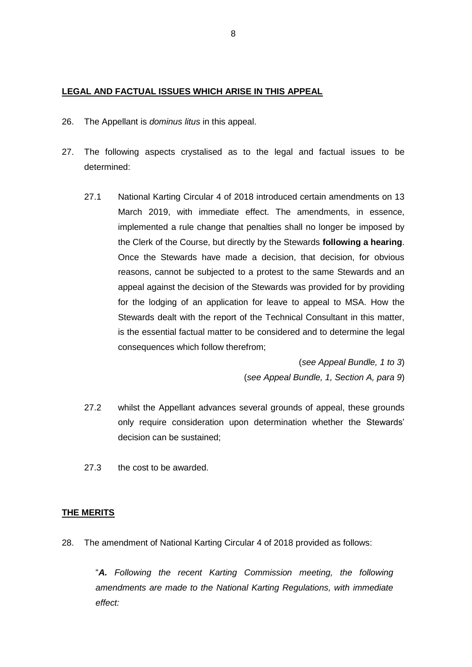## **LEGAL AND FACTUAL ISSUES WHICH ARISE IN THIS APPEAL**

- 26. The Appellant is *dominus litus* in this appeal.
- 27. The following aspects crystalised as to the legal and factual issues to be determined:
	- 27.1 National Karting Circular 4 of 2018 introduced certain amendments on 13 March 2019, with immediate effect. The amendments, in essence, implemented a rule change that penalties shall no longer be imposed by the Clerk of the Course, but directly by the Stewards **following a hearing**. Once the Stewards have made a decision, that decision, for obvious reasons, cannot be subjected to a protest to the same Stewards and an appeal against the decision of the Stewards was provided for by providing for the lodging of an application for leave to appeal to MSA. How the Stewards dealt with the report of the Technical Consultant in this matter, is the essential factual matter to be considered and to determine the legal consequences which follow therefrom;

(*see Appeal Bundle, 1 to 3*) (*see Appeal Bundle, 1, Section A, para 9*)

- 27.2 whilst the Appellant advances several grounds of appeal, these grounds only require consideration upon determination whether the Stewards' decision can be sustained;
- 27.3 the cost to be awarded.

#### **THE MERITS**

28. The amendment of National Karting Circular 4 of 2018 provided as follows:

"*A. Following the recent Karting Commission meeting, the following amendments are made to the National Karting Regulations, with immediate effect:*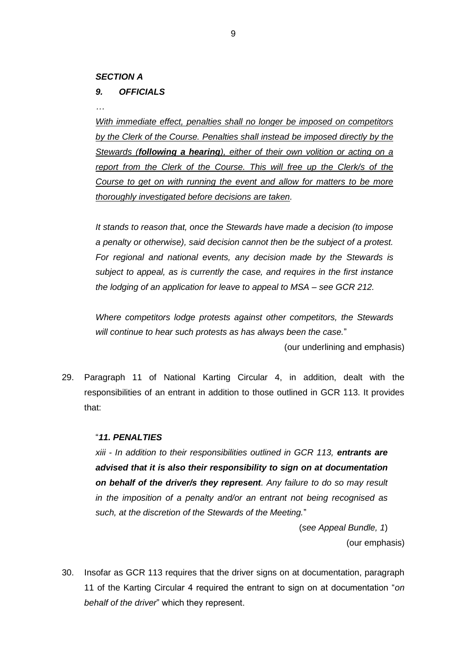## *SECTION A*

## *9. OFFICIALS*

*…*

*With immediate effect, penalties shall no longer be imposed on competitors by the Clerk of the Course. Penalties shall instead be imposed directly by the Stewards (following a hearing), either of their own volition or acting on a report from the Clerk of the Course. This will free up the Clerk/s of the Course to get on with running the event and allow for matters to be more thoroughly investigated before decisions are taken.*

*It stands to reason that, once the Stewards have made a decision (to impose a penalty or otherwise), said decision cannot then be the subject of a protest. For regional and national events, any decision made by the Stewards is subject to appeal, as is currently the case, and requires in the first instance the lodging of an application for leave to appeal to MSA – see GCR 212.*

*Where competitors lodge protests against other competitors, the Stewards will continue to hear such protests as has always been the case.*"

(our underlining and emphasis)

29. Paragraph 11 of National Karting Circular 4, in addition, dealt with the responsibilities of an entrant in addition to those outlined in GCR 113. It provides that:

#### "*11. PENALTIES*

*xiii - In addition to their responsibilities outlined in GCR 113, entrants are advised that it is also their responsibility to sign on at documentation on behalf of the driver/s they represent. Any failure to do so may result in the imposition of a penalty and/or an entrant not being recognised as such, at the discretion of the Stewards of the Meeting.*"

> (*see Appeal Bundle, 1*) (our emphasis)

30. Insofar as GCR 113 requires that the driver signs on at documentation, paragraph 11 of the Karting Circular 4 required the entrant to sign on at documentation "*on behalf of the driver*" which they represent.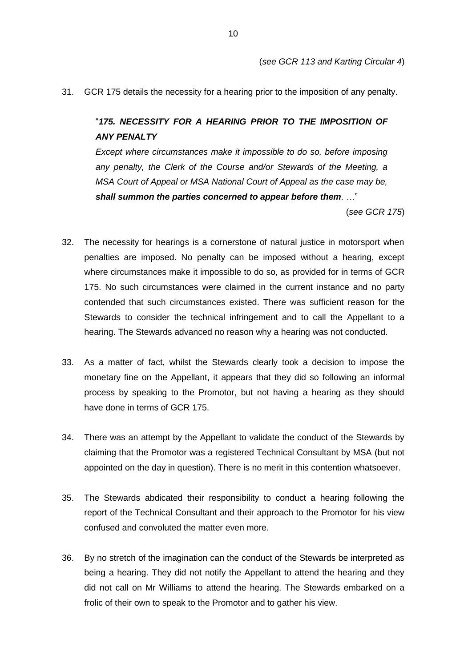31. GCR 175 details the necessity for a hearing prior to the imposition of any penalty.

"*175. NECESSITY FOR A HEARING PRIOR TO THE IMPOSITION OF ANY PENALTY*

*Except where circumstances make it impossible to do so, before imposing any penalty, the Clerk of the Course and/or Stewards of the Meeting, a MSA Court of Appeal or MSA National Court of Appeal as the case may be, shall summon the parties concerned to appear before them. …*"

(*see GCR 175*)

- 32. The necessity for hearings is a cornerstone of natural justice in motorsport when penalties are imposed. No penalty can be imposed without a hearing, except where circumstances make it impossible to do so, as provided for in terms of GCR 175. No such circumstances were claimed in the current instance and no party contended that such circumstances existed. There was sufficient reason for the Stewards to consider the technical infringement and to call the Appellant to a hearing. The Stewards advanced no reason why a hearing was not conducted.
- 33. As a matter of fact, whilst the Stewards clearly took a decision to impose the monetary fine on the Appellant, it appears that they did so following an informal process by speaking to the Promotor, but not having a hearing as they should have done in terms of GCR 175.
- 34. There was an attempt by the Appellant to validate the conduct of the Stewards by claiming that the Promotor was a registered Technical Consultant by MSA (but not appointed on the day in question). There is no merit in this contention whatsoever.
- 35. The Stewards abdicated their responsibility to conduct a hearing following the report of the Technical Consultant and their approach to the Promotor for his view confused and convoluted the matter even more.
- 36. By no stretch of the imagination can the conduct of the Stewards be interpreted as being a hearing. They did not notify the Appellant to attend the hearing and they did not call on Mr Williams to attend the hearing. The Stewards embarked on a frolic of their own to speak to the Promotor and to gather his view.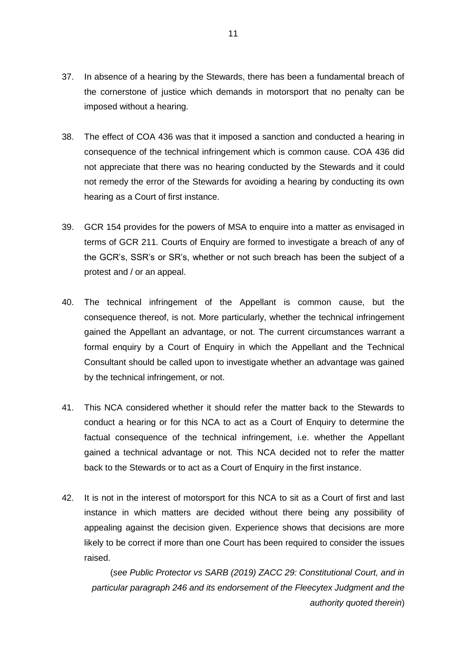- 37. In absence of a hearing by the Stewards, there has been a fundamental breach of the cornerstone of justice which demands in motorsport that no penalty can be imposed without a hearing.
- 38. The effect of COA 436 was that it imposed a sanction and conducted a hearing in consequence of the technical infringement which is common cause. COA 436 did not appreciate that there was no hearing conducted by the Stewards and it could not remedy the error of the Stewards for avoiding a hearing by conducting its own hearing as a Court of first instance.
- 39. GCR 154 provides for the powers of MSA to enquire into a matter as envisaged in terms of GCR 211. Courts of Enquiry are formed to investigate a breach of any of the GCR's, SSR's or SR's, whether or not such breach has been the subject of a protest and / or an appeal.
- 40. The technical infringement of the Appellant is common cause, but the consequence thereof, is not. More particularly, whether the technical infringement gained the Appellant an advantage, or not. The current circumstances warrant a formal enquiry by a Court of Enquiry in which the Appellant and the Technical Consultant should be called upon to investigate whether an advantage was gained by the technical infringement, or not.
- 41. This NCA considered whether it should refer the matter back to the Stewards to conduct a hearing or for this NCA to act as a Court of Enquiry to determine the factual consequence of the technical infringement, i.e. whether the Appellant gained a technical advantage or not. This NCA decided not to refer the matter back to the Stewards or to act as a Court of Enquiry in the first instance.
- 42. It is not in the interest of motorsport for this NCA to sit as a Court of first and last instance in which matters are decided without there being any possibility of appealing against the decision given. Experience shows that decisions are more likely to be correct if more than one Court has been required to consider the issues raised.

(*see Public Protector vs SARB (2019) ZACC 29: Constitutional Court, and in particular paragraph 246 and its endorsement of the Fleecytex Judgment and the authority quoted therein*)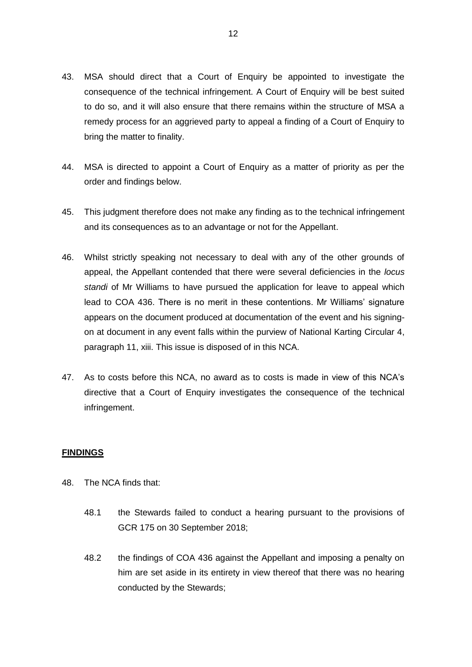- 43. MSA should direct that a Court of Enquiry be appointed to investigate the consequence of the technical infringement. A Court of Enquiry will be best suited to do so, and it will also ensure that there remains within the structure of MSA a remedy process for an aggrieved party to appeal a finding of a Court of Enquiry to bring the matter to finality.
- 44. MSA is directed to appoint a Court of Enquiry as a matter of priority as per the order and findings below.
- 45. This judgment therefore does not make any finding as to the technical infringement and its consequences as to an advantage or not for the Appellant.
- 46. Whilst strictly speaking not necessary to deal with any of the other grounds of appeal, the Appellant contended that there were several deficiencies in the *locus standi* of Mr Williams to have pursued the application for leave to appeal which lead to COA 436. There is no merit in these contentions. Mr Williams' signature appears on the document produced at documentation of the event and his signingon at document in any event falls within the purview of National Karting Circular 4, paragraph 11, xiii. This issue is disposed of in this NCA.
- 47. As to costs before this NCA, no award as to costs is made in view of this NCA's directive that a Court of Enquiry investigates the consequence of the technical infringement.

#### **FINDINGS**

- 48. The NCA finds that:
	- 48.1 the Stewards failed to conduct a hearing pursuant to the provisions of GCR 175 on 30 September 2018;
	- 48.2 the findings of COA 436 against the Appellant and imposing a penalty on him are set aside in its entirety in view thereof that there was no hearing conducted by the Stewards;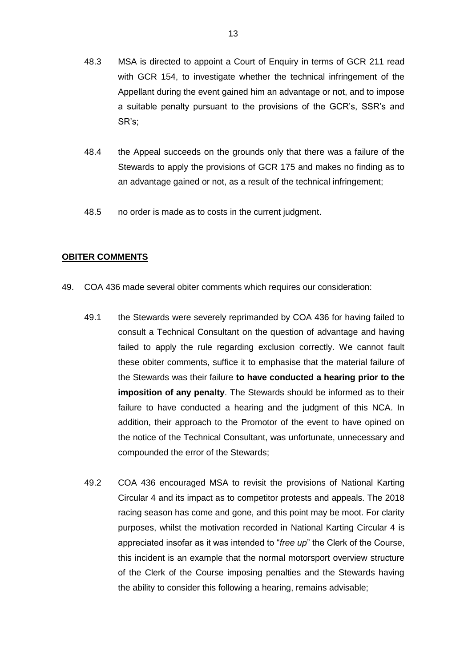- 48.3 MSA is directed to appoint a Court of Enquiry in terms of GCR 211 read with GCR 154, to investigate whether the technical infringement of the Appellant during the event gained him an advantage or not, and to impose a suitable penalty pursuant to the provisions of the GCR's, SSR's and SR's;
- 48.4 the Appeal succeeds on the grounds only that there was a failure of the Stewards to apply the provisions of GCR 175 and makes no finding as to an advantage gained or not, as a result of the technical infringement;
- 48.5 no order is made as to costs in the current judgment.

#### **OBITER COMMENTS**

- 49. COA 436 made several obiter comments which requires our consideration:
	- 49.1 the Stewards were severely reprimanded by COA 436 for having failed to consult a Technical Consultant on the question of advantage and having failed to apply the rule regarding exclusion correctly. We cannot fault these obiter comments, suffice it to emphasise that the material failure of the Stewards was their failure **to have conducted a hearing prior to the imposition of any penalty**. The Stewards should be informed as to their failure to have conducted a hearing and the judgment of this NCA. In addition, their approach to the Promotor of the event to have opined on the notice of the Technical Consultant, was unfortunate, unnecessary and compounded the error of the Stewards;
	- 49.2 COA 436 encouraged MSA to revisit the provisions of National Karting Circular 4 and its impact as to competitor protests and appeals. The 2018 racing season has come and gone, and this point may be moot. For clarity purposes, whilst the motivation recorded in National Karting Circular 4 is appreciated insofar as it was intended to "*free up*" the Clerk of the Course, this incident is an example that the normal motorsport overview structure of the Clerk of the Course imposing penalties and the Stewards having the ability to consider this following a hearing, remains advisable;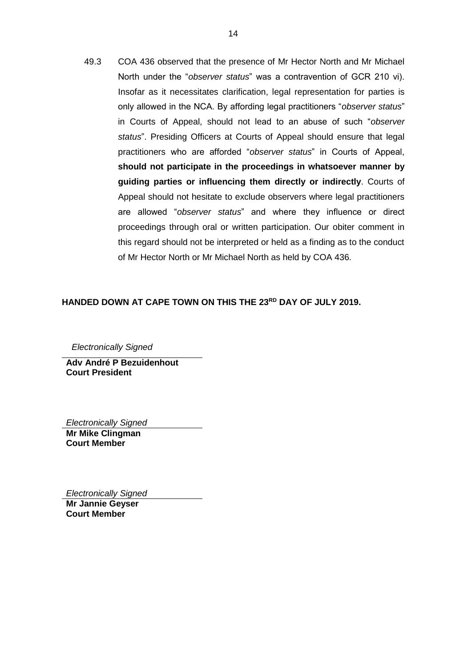49.3 COA 436 observed that the presence of Mr Hector North and Mr Michael North under the "*observer status*" was a contravention of GCR 210 vi). Insofar as it necessitates clarification, legal representation for parties is only allowed in the NCA. By affording legal practitioners "*observer status*" in Courts of Appeal, should not lead to an abuse of such "*observer status*". Presiding Officers at Courts of Appeal should ensure that legal practitioners who are afforded "*observer status*" in Courts of Appeal, **should not participate in the proceedings in whatsoever manner by guiding parties or influencing them directly or indirectly**. Courts of Appeal should not hesitate to exclude observers where legal practitioners are allowed "*observer status*" and where they influence or direct proceedings through oral or written participation. Our obiter comment in this regard should not be interpreted or held as a finding as to the conduct of Mr Hector North or Mr Michael North as held by COA 436.

## **HANDED DOWN AT CAPE TOWN ON THIS THE 23RD DAY OF JULY 2019.**

 *Electronically Signed*

**Adv André P Bezuidenhout Court President**

*Electronically Signed*

**Mr Mike Clingman Court Member**

*Electronically Signed* **Mr Jannie Geyser Court Member**